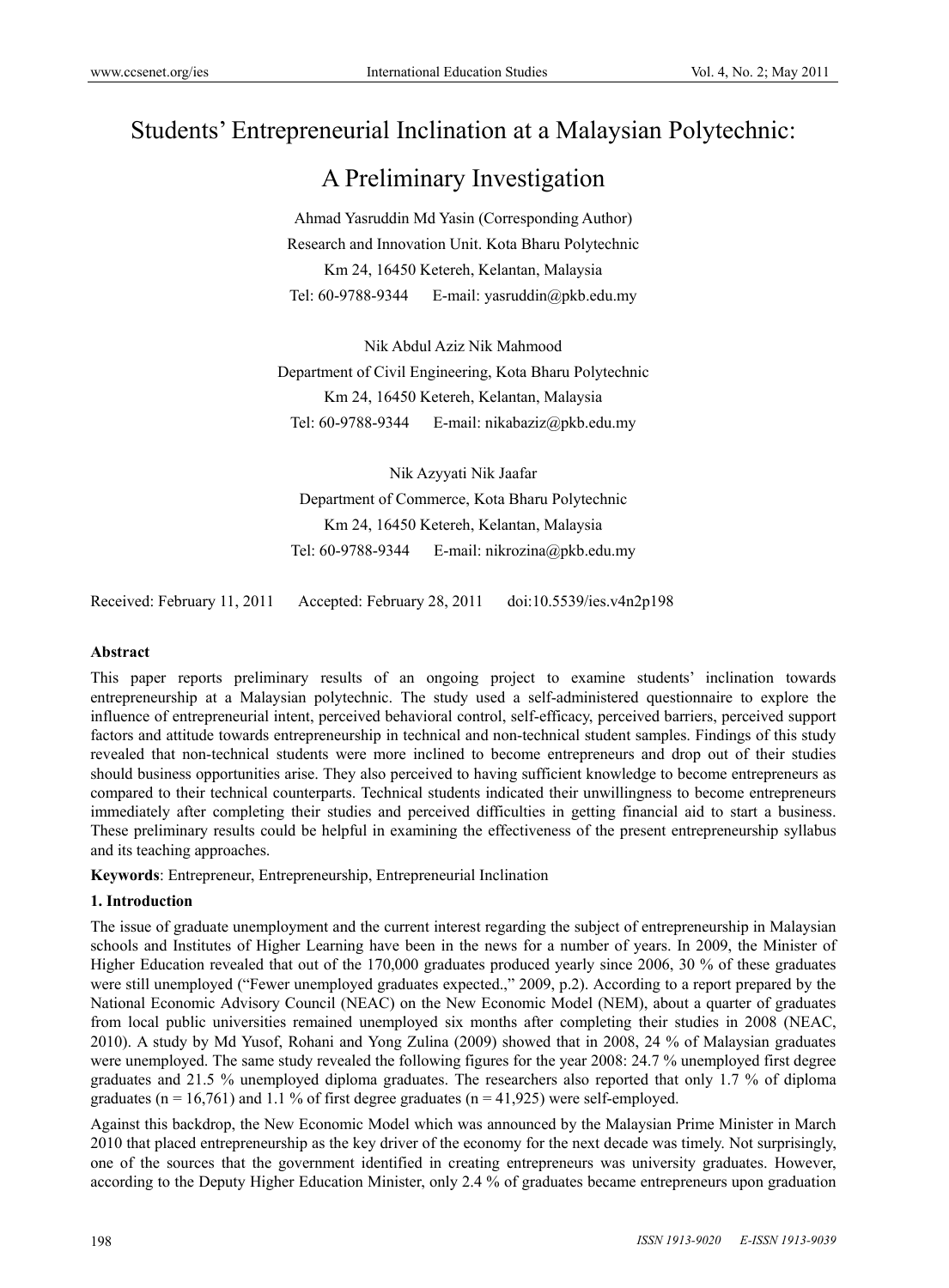# Students' Entrepreneurial Inclination at a Malaysian Polytechnic:

# A Preliminary Investigation

Ahmad Yasruddin Md Yasin (Corresponding Author) Research and Innovation Unit. Kota Bharu Polytechnic Km 24, 16450 Ketereh, Kelantan, Malaysia Tel: 60-9788-9344 E-mail: yasruddin@pkb.edu.my

Nik Abdul Aziz Nik Mahmood Department of Civil Engineering, Kota Bharu Polytechnic Km 24, 16450 Ketereh, Kelantan, Malaysia Tel: 60-9788-9344 E-mail: nikabaziz@pkb.edu.my

Nik Azyyati Nik Jaafar Department of Commerce, Kota Bharu Polytechnic Km 24, 16450 Ketereh, Kelantan, Malaysia Tel: 60-9788-9344 E-mail: nikrozina@pkb.edu.my

Received: February 11, 2011 Accepted: February 28, 2011 doi:10.5539/ies.v4n2p198

#### **Abstract**

This paper reports preliminary results of an ongoing project to examine students' inclination towards entrepreneurship at a Malaysian polytechnic. The study used a self-administered questionnaire to explore the influence of entrepreneurial intent, perceived behavioral control, self-efficacy, perceived barriers, perceived support factors and attitude towards entrepreneurship in technical and non-technical student samples. Findings of this study revealed that non-technical students were more inclined to become entrepreneurs and drop out of their studies should business opportunities arise. They also perceived to having sufficient knowledge to become entrepreneurs as compared to their technical counterparts. Technical students indicated their unwillingness to become entrepreneurs immediately after completing their studies and perceived difficulties in getting financial aid to start a business. These preliminary results could be helpful in examining the effectiveness of the present entrepreneurship syllabus and its teaching approaches.

**Keywords**: Entrepreneur, Entrepreneurship, Entrepreneurial Inclination

#### **1. Introduction**

The issue of graduate unemployment and the current interest regarding the subject of entrepreneurship in Malaysian schools and Institutes of Higher Learning have been in the news for a number of years. In 2009, the Minister of Higher Education revealed that out of the 170,000 graduates produced yearly since 2006, 30 % of these graduates were still unemployed ("Fewer unemployed graduates expected.," 2009, p.2). According to a report prepared by the National Economic Advisory Council (NEAC) on the New Economic Model (NEM), about a quarter of graduates from local public universities remained unemployed six months after completing their studies in 2008 (NEAC, 2010). A study by Md Yusof, Rohani and Yong Zulina (2009) showed that in 2008, 24 % of Malaysian graduates were unemployed. The same study revealed the following figures for the year 2008: 24.7 % unemployed first degree graduates and 21.5 % unemployed diploma graduates. The researchers also reported that only 1.7 % of diploma graduates ( $n = 16,761$ ) and 1.1% of first degree graduates ( $n = 41,925$ ) were self-employed.

Against this backdrop, the New Economic Model which was announced by the Malaysian Prime Minister in March 2010 that placed entrepreneurship as the key driver of the economy for the next decade was timely. Not surprisingly, one of the sources that the government identified in creating entrepreneurs was university graduates. However, according to the Deputy Higher Education Minister, only 2.4 % of graduates became entrepreneurs upon graduation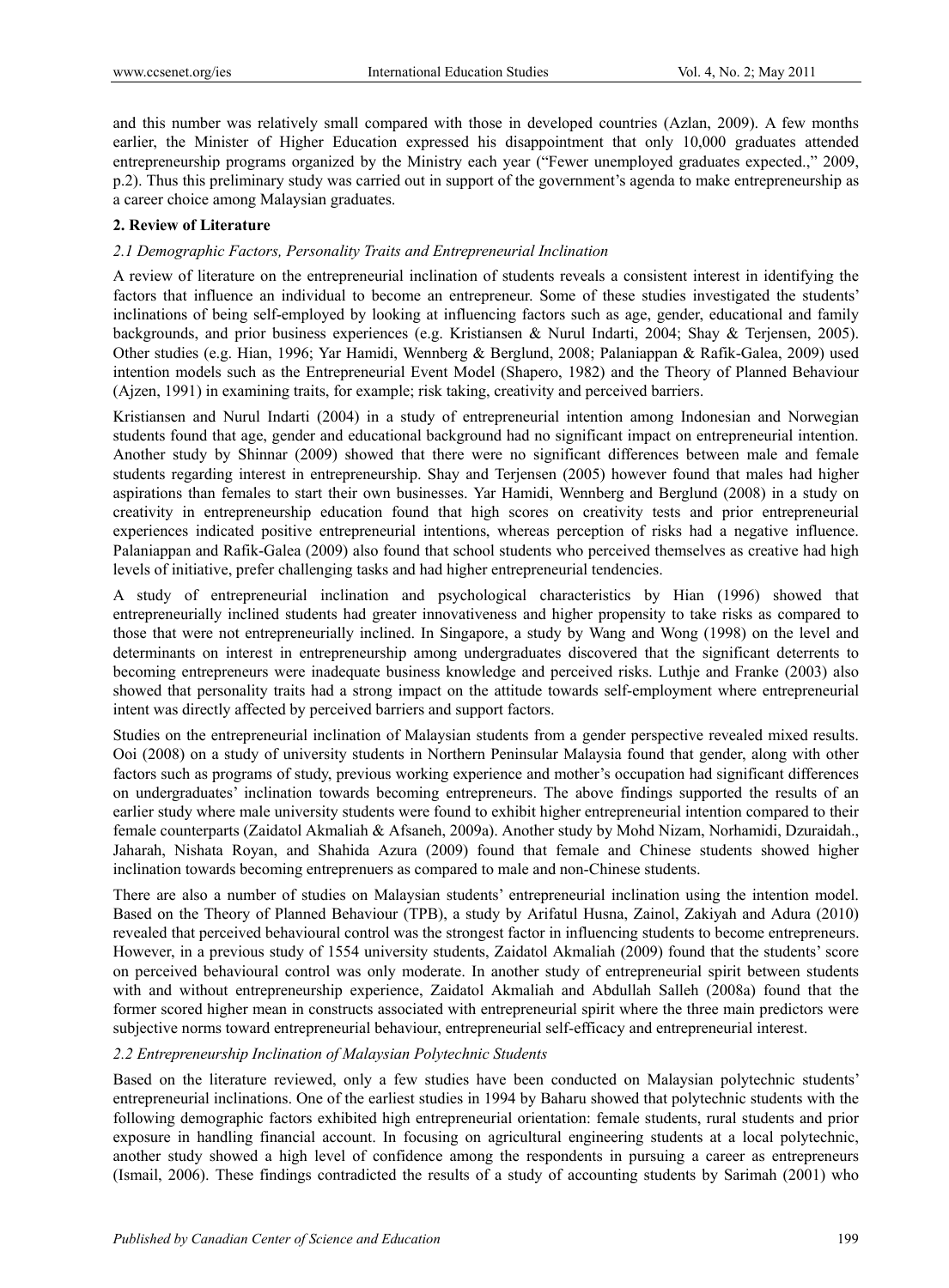and this number was relatively small compared with those in developed countries (Azlan, 2009). A few months earlier, the Minister of Higher Education expressed his disappointment that only 10,000 graduates attended entrepreneurship programs organized by the Ministry each year ("Fewer unemployed graduates expected.," 2009, p.2). Thus this preliminary study was carried out in support of the government's agenda to make entrepreneurship as a career choice among Malaysian graduates.

## **2. Review of Literature**

## *2.1 Demographic Factors, Personality Traits and Entrepreneurial Inclination*

A review of literature on the entrepreneurial inclination of students reveals a consistent interest in identifying the factors that influence an individual to become an entrepreneur. Some of these studies investigated the students' inclinations of being self-employed by looking at influencing factors such as age, gender, educational and family backgrounds, and prior business experiences (e.g. Kristiansen & Nurul Indarti, 2004; Shay & Terjensen, 2005). Other studies (e.g. Hian, 1996; Yar Hamidi, Wennberg & Berglund, 2008; Palaniappan & Rafik-Galea, 2009) used intention models such as the Entrepreneurial Event Model (Shapero, 1982) and the Theory of Planned Behaviour (Ajzen, 1991) in examining traits, for example; risk taking, creativity and perceived barriers.

Kristiansen and Nurul Indarti (2004) in a study of entrepreneurial intention among Indonesian and Norwegian students found that age, gender and educational background had no significant impact on entrepreneurial intention. Another study by Shinnar (2009) showed that there were no significant differences between male and female students regarding interest in entrepreneurship. Shay and Terjensen (2005) however found that males had higher aspirations than females to start their own businesses. Yar Hamidi, Wennberg and Berglund (2008) in a study on creativity in entrepreneurship education found that high scores on creativity tests and prior entrepreneurial experiences indicated positive entrepreneurial intentions, whereas perception of risks had a negative influence. Palaniappan and Rafik-Galea (2009) also found that school students who perceived themselves as creative had high levels of initiative, prefer challenging tasks and had higher entrepreneurial tendencies.

A study of entrepreneurial inclination and psychological characteristics by Hian (1996) showed that entrepreneurially inclined students had greater innovativeness and higher propensity to take risks as compared to those that were not entrepreneurially inclined. In Singapore, a study by Wang and Wong (1998) on the level and determinants on interest in entrepreneurship among undergraduates discovered that the significant deterrents to becoming entrepreneurs were inadequate business knowledge and perceived risks. Luthje and Franke (2003) also showed that personality traits had a strong impact on the attitude towards self-employment where entrepreneurial intent was directly affected by perceived barriers and support factors.

Studies on the entrepreneurial inclination of Malaysian students from a gender perspective revealed mixed results. Ooi (2008) on a study of university students in Northern Peninsular Malaysia found that gender, along with other factors such as programs of study, previous working experience and mother's occupation had significant differences on undergraduates' inclination towards becoming entrepreneurs. The above findings supported the results of an earlier study where male university students were found to exhibit higher entrepreneurial intention compared to their female counterparts (Zaidatol Akmaliah & Afsaneh, 2009a). Another study by Mohd Nizam, Norhamidi, Dzuraidah., Jaharah, Nishata Royan, and Shahida Azura (2009) found that female and Chinese students showed higher inclination towards becoming entreprenuers as compared to male and non-Chinese students.

There are also a number of studies on Malaysian students' entrepreneurial inclination using the intention model. Based on the Theory of Planned Behaviour (TPB), a study by Arifatul Husna, Zainol, Zakiyah and Adura (2010) revealed that perceived behavioural control was the strongest factor in influencing students to become entrepreneurs. However, in a previous study of 1554 university students, Zaidatol Akmaliah (2009) found that the students' score on perceived behavioural control was only moderate. In another study of entrepreneurial spirit between students with and without entrepreneurship experience, Zaidatol Akmaliah and Abdullah Salleh (2008a) found that the former scored higher mean in constructs associated with entrepreneurial spirit where the three main predictors were subjective norms toward entrepreneurial behaviour, entrepreneurial self-efficacy and entrepreneurial interest.

#### *2.2 Entrepreneurship Inclination of Malaysian Polytechnic Students*

Based on the literature reviewed, only a few studies have been conducted on Malaysian polytechnic students' entrepreneurial inclinations. One of the earliest studies in 1994 by Baharu showed that polytechnic students with the following demographic factors exhibited high entrepreneurial orientation: female students, rural students and prior exposure in handling financial account. In focusing on agricultural engineering students at a local polytechnic, another study showed a high level of confidence among the respondents in pursuing a career as entrepreneurs (Ismail, 2006). These findings contradicted the results of a study of accounting students by Sarimah (2001) who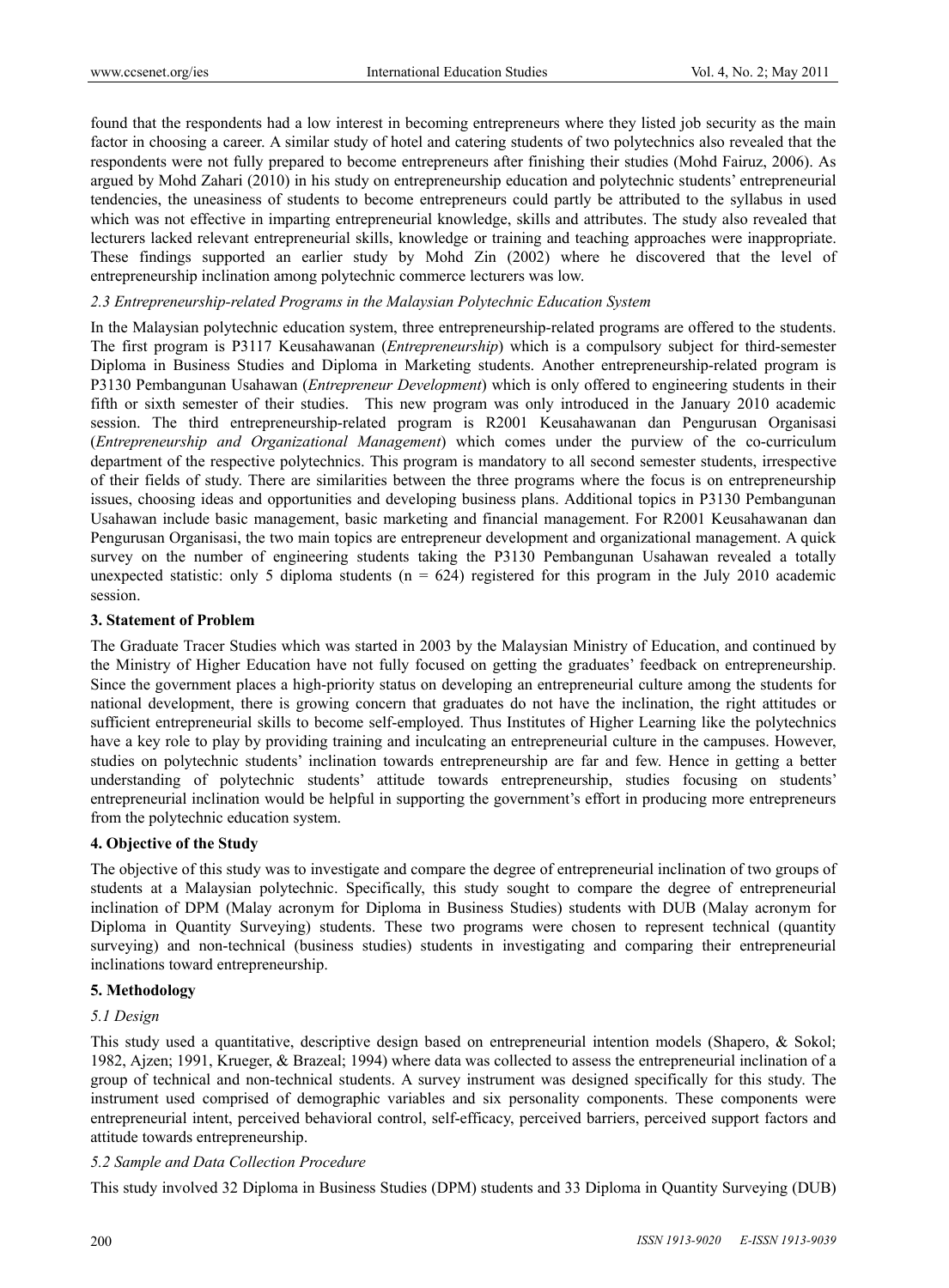found that the respondents had a low interest in becoming entrepreneurs where they listed job security as the main factor in choosing a career. A similar study of hotel and catering students of two polytechnics also revealed that the respondents were not fully prepared to become entrepreneurs after finishing their studies (Mohd Fairuz, 2006). As argued by Mohd Zahari (2010) in his study on entrepreneurship education and polytechnic students' entrepreneurial tendencies, the uneasiness of students to become entrepreneurs could partly be attributed to the syllabus in used which was not effective in imparting entrepreneurial knowledge, skills and attributes. The study also revealed that lecturers lacked relevant entrepreneurial skills, knowledge or training and teaching approaches were inappropriate. These findings supported an earlier study by Mohd Zin (2002) where he discovered that the level of entrepreneurship inclination among polytechnic commerce lecturers was low.

#### *2.3 Entrepreneurship-related Programs in the Malaysian Polytechnic Education System*

In the Malaysian polytechnic education system, three entrepreneurship-related programs are offered to the students. The first program is P3117 Keusahawanan (*Entrepreneurship*) which is a compulsory subject for third-semester Diploma in Business Studies and Diploma in Marketing students. Another entrepreneurship-related program is P3130 Pembangunan Usahawan (*Entrepreneur Development*) which is only offered to engineering students in their fifth or sixth semester of their studies. This new program was only introduced in the January 2010 academic session. The third entrepreneurship-related program is R2001 Keusahawanan dan Pengurusan Organisasi (*Entrepreneurship and Organizational Management*) which comes under the purview of the co-curriculum department of the respective polytechnics. This program is mandatory to all second semester students, irrespective of their fields of study. There are similarities between the three programs where the focus is on entrepreneurship issues, choosing ideas and opportunities and developing business plans. Additional topics in P3130 Pembangunan Usahawan include basic management, basic marketing and financial management. For R2001 Keusahawanan dan Pengurusan Organisasi, the two main topics are entrepreneur development and organizational management. A quick survey on the number of engineering students taking the P3130 Pembangunan Usahawan revealed a totally unexpected statistic: only 5 diploma students ( $n = 624$ ) registered for this program in the July 2010 academic session.

#### **3. Statement of Problem**

The Graduate Tracer Studies which was started in 2003 by the Malaysian Ministry of Education, and continued by the Ministry of Higher Education have not fully focused on getting the graduates' feedback on entrepreneurship. Since the government places a high-priority status on developing an entrepreneurial culture among the students for national development, there is growing concern that graduates do not have the inclination, the right attitudes or sufficient entrepreneurial skills to become self-employed. Thus Institutes of Higher Learning like the polytechnics have a key role to play by providing training and inculcating an entrepreneurial culture in the campuses. However, studies on polytechnic students' inclination towards entrepreneurship are far and few. Hence in getting a better understanding of polytechnic students' attitude towards entrepreneurship, studies focusing on students' entrepreneurial inclination would be helpful in supporting the government's effort in producing more entrepreneurs from the polytechnic education system.

# **4. Objective of the Study**

The objective of this study was to investigate and compare the degree of entrepreneurial inclination of two groups of students at a Malaysian polytechnic. Specifically, this study sought to compare the degree of entrepreneurial inclination of DPM (Malay acronym for Diploma in Business Studies) students with DUB (Malay acronym for Diploma in Quantity Surveying) students. These two programs were chosen to represent technical (quantity surveying) and non-technical (business studies) students in investigating and comparing their entrepreneurial inclinations toward entrepreneurship.

#### **5. Methodology**

#### *5.1 Design*

This study used a quantitative, descriptive design based on entrepreneurial intention models (Shapero, & Sokol; 1982, Ajzen; 1991, Krueger, & Brazeal; 1994) where data was collected to assess the entrepreneurial inclination of a group of technical and non-technical students. A survey instrument was designed specifically for this study. The instrument used comprised of demographic variables and six personality components. These components were entrepreneurial intent, perceived behavioral control, self-efficacy, perceived barriers, perceived support factors and attitude towards entrepreneurship.

#### *5.2 Sample and Data Collection Procedure*

This study involved 32 Diploma in Business Studies (DPM) students and 33 Diploma in Quantity Surveying (DUB)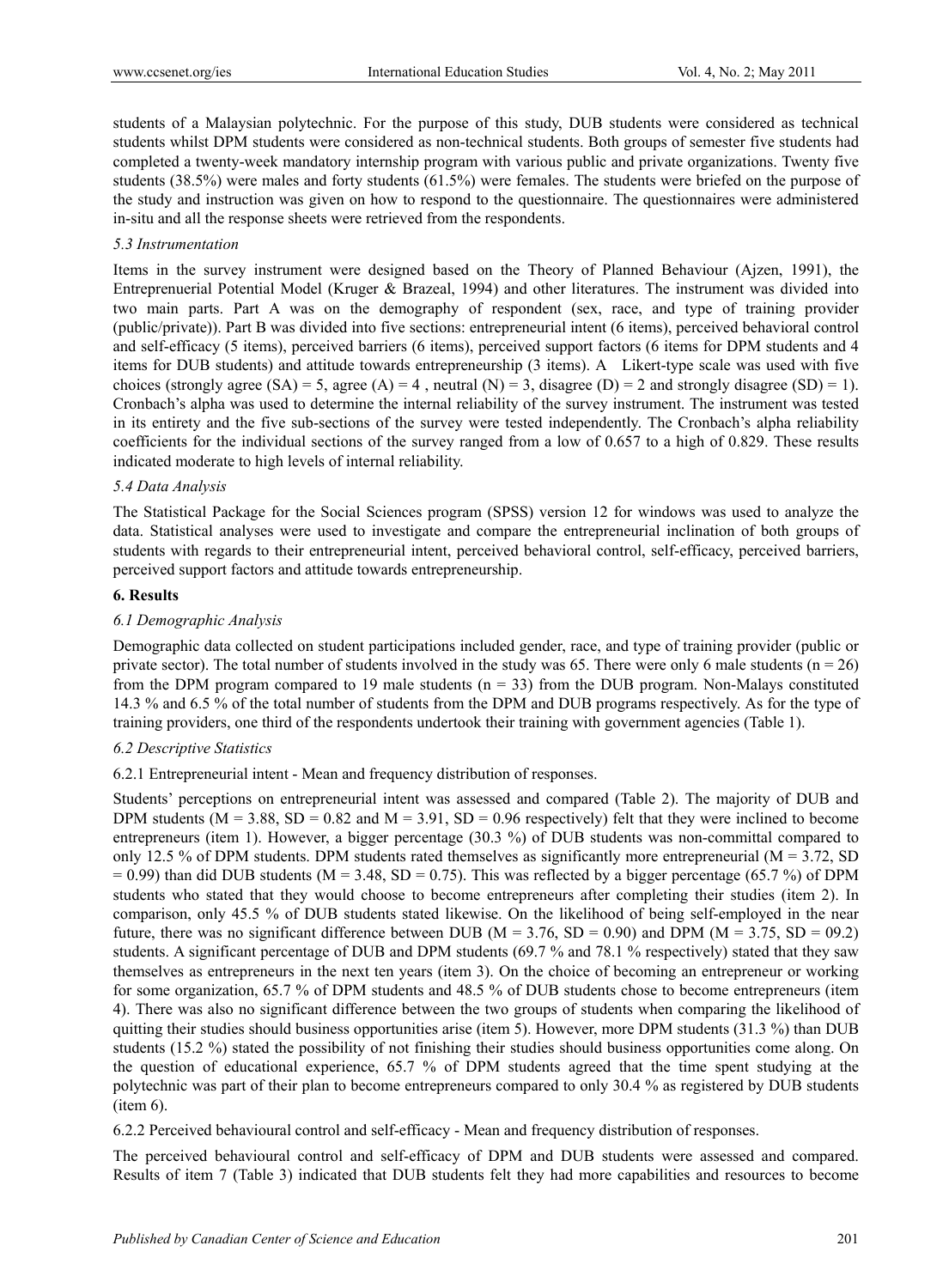students of a Malaysian polytechnic. For the purpose of this study, DUB students were considered as technical students whilst DPM students were considered as non-technical students. Both groups of semester five students had completed a twenty-week mandatory internship program with various public and private organizations. Twenty five students (38.5%) were males and forty students (61.5%) were females. The students were briefed on the purpose of the study and instruction was given on how to respond to the questionnaire. The questionnaires were administered in-situ and all the response sheets were retrieved from the respondents.

## *5.3 Instrumentation*

Items in the survey instrument were designed based on the Theory of Planned Behaviour (Ajzen, 1991), the Entreprenuerial Potential Model (Kruger & Brazeal, 1994) and other literatures. The instrument was divided into two main parts. Part A was on the demography of respondent (sex, race, and type of training provider (public/private)). Part B was divided into five sections: entrepreneurial intent (6 items), perceived behavioral control and self-efficacy (5 items), perceived barriers (6 items), perceived support factors (6 items for DPM students and 4 items for DUB students) and attitude towards entrepreneurship (3 items). A Likert-type scale was used with five choices (strongly agree  $(S_A) = 5$ , agree  $(A) = 4$ , neutral  $(N) = 3$ , disagree  $(D) = 2$  and strongly disagree  $(S_D) = 1$ ). Cronbach's alpha was used to determine the internal reliability of the survey instrument. The instrument was tested in its entirety and the five sub-sections of the survey were tested independently. The Cronbach's alpha reliability coefficients for the individual sections of the survey ranged from a low of 0.657 to a high of 0.829. These results indicated moderate to high levels of internal reliability.

## *5.4 Data Analysis*

The Statistical Package for the Social Sciences program (SPSS) version 12 for windows was used to analyze the data. Statistical analyses were used to investigate and compare the entrepreneurial inclination of both groups of students with regards to their entrepreneurial intent, perceived behavioral control, self-efficacy, perceived barriers, perceived support factors and attitude towards entrepreneurship.

#### **6. Results**

## *6.1 Demographic Analysis*

Demographic data collected on student participations included gender, race, and type of training provider (public or private sector). The total number of students involved in the study was 65. There were only 6 male students ( $n = 26$ ) from the DPM program compared to 19 male students ( $n = 33$ ) from the DUB program. Non-Malays constituted 14.3 % and 6.5 % of the total number of students from the DPM and DUB programs respectively. As for the type of training providers, one third of the respondents undertook their training with government agencies (Table 1).

#### *6.2 Descriptive Statistics*

6.2.1 Entrepreneurial intent - Mean and frequency distribution of responses.

Students' perceptions on entrepreneurial intent was assessed and compared (Table 2). The majority of DUB and DPM students ( $M = 3.88$ ,  $SD = 0.82$  and  $M = 3.91$ ,  $SD = 0.96$  respectively) felt that they were inclined to become entrepreneurs (item 1). However, a bigger percentage (30.3 %) of DUB students was non-committal compared to only 12.5 % of DPM students. DPM students rated themselves as significantly more entrepreneurial ( $M = 3.72$ , SD  $= 0.99$ ) than did DUB students (M = 3.48, SD = 0.75). This was reflected by a bigger percentage (65.7 %) of DPM students who stated that they would choose to become entrepreneurs after completing their studies (item 2). In comparison, only 45.5 % of DUB students stated likewise. On the likelihood of being self-employed in the near future, there was no significant difference between DUB ( $M = 3.76$ , SD = 0.90) and DPM ( $M = 3.75$ , SD = 09.2) students. A significant percentage of DUB and DPM students (69.7 % and 78.1 % respectively) stated that they saw themselves as entrepreneurs in the next ten years (item 3). On the choice of becoming an entrepreneur or working for some organization, 65.7 % of DPM students and 48.5 % of DUB students chose to become entrepreneurs (item 4). There was also no significant difference between the two groups of students when comparing the likelihood of quitting their studies should business opportunities arise (item 5). However, more DPM students (31.3 %) than DUB students (15.2 %) stated the possibility of not finishing their studies should business opportunities come along. On the question of educational experience, 65.7 % of DPM students agreed that the time spent studying at the polytechnic was part of their plan to become entrepreneurs compared to only 30.4 % as registered by DUB students (item 6).

6.2.2 Perceived behavioural control and self-efficacy - Mean and frequency distribution of responses.

The perceived behavioural control and self-efficacy of DPM and DUB students were assessed and compared. Results of item 7 (Table 3) indicated that DUB students felt they had more capabilities and resources to become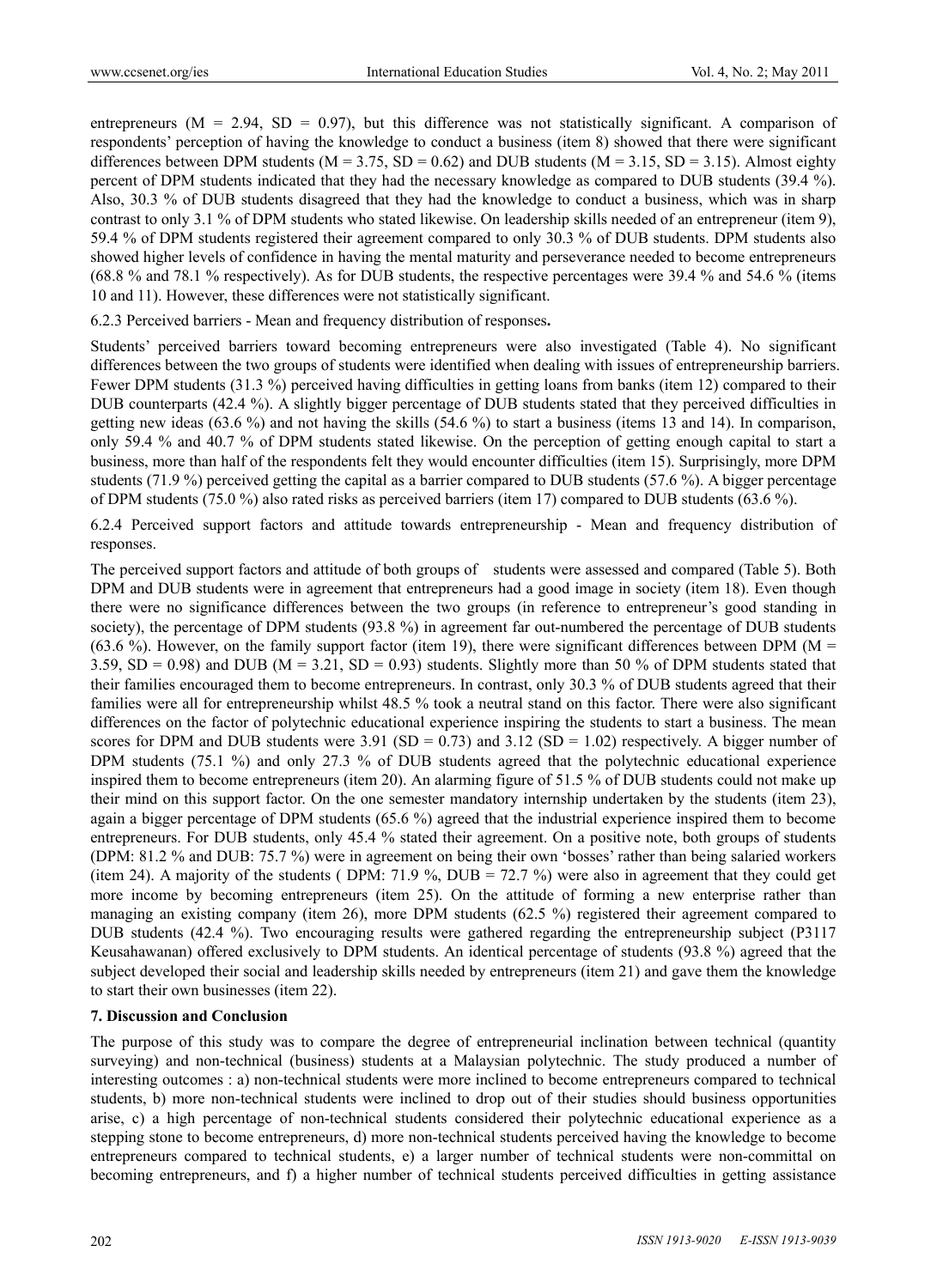entrepreneurs ( $M = 2.94$ ,  $SD = 0.97$ ), but this difference was not statistically significant. A comparison of respondents' perception of having the knowledge to conduct a business (item 8) showed that there were significant differences between DPM students (M = 3.75, SD = 0.62) and DUB students (M = 3.15, SD = 3.15). Almost eighty percent of DPM students indicated that they had the necessary knowledge as compared to DUB students (39.4 %). Also, 30.3 % of DUB students disagreed that they had the knowledge to conduct a business, which was in sharp contrast to only 3.1 % of DPM students who stated likewise. On leadership skills needed of an entrepreneur (item 9), 59.4 % of DPM students registered their agreement compared to only 30.3 % of DUB students. DPM students also showed higher levels of confidence in having the mental maturity and perseverance needed to become entrepreneurs (68.8 % and 78.1 % respectively). As for DUB students, the respective percentages were 39.4 % and 54.6 % (items 10 and 11). However, these differences were not statistically significant.

6.2.3 Perceived barriers - Mean and frequency distribution of responses**.** 

Students' perceived barriers toward becoming entrepreneurs were also investigated (Table 4). No significant differences between the two groups of students were identified when dealing with issues of entrepreneurship barriers. Fewer DPM students (31.3 %) perceived having difficulties in getting loans from banks (item 12) compared to their DUB counterparts (42.4 %). A slightly bigger percentage of DUB students stated that they perceived difficulties in getting new ideas (63.6 %) and not having the skills (54.6 %) to start a business (items 13 and 14). In comparison, only 59.4 % and 40.7 % of DPM students stated likewise. On the perception of getting enough capital to start a business, more than half of the respondents felt they would encounter difficulties (item 15). Surprisingly, more DPM students (71.9 %) perceived getting the capital as a barrier compared to DUB students (57.6 %). A bigger percentage of DPM students (75.0 %) also rated risks as perceived barriers (item 17) compared to DUB students (63.6 %).

6.2.4 Perceived support factors and attitude towards entrepreneurship - Mean and frequency distribution of responses.

The perceived support factors and attitude of both groups of students were assessed and compared (Table 5). Both DPM and DUB students were in agreement that entrepreneurs had a good image in society (item 18). Even though there were no significance differences between the two groups (in reference to entrepreneur's good standing in society), the percentage of DPM students (93.8 %) in agreement far out-numbered the percentage of DUB students (63.6 %). However, on the family support factor (item 19), there were significant differences between DPM ( $M =$ 3.59,  $SD = 0.98$ ) and DUB (M = 3.21,  $SD = 0.93$ ) students. Slightly more than 50 % of DPM students stated that their families encouraged them to become entrepreneurs. In contrast, only 30.3 % of DUB students agreed that their families were all for entrepreneurship whilst 48.5 % took a neutral stand on this factor. There were also significant differences on the factor of polytechnic educational experience inspiring the students to start a business. The mean scores for DPM and DUB students were  $3.91$  (SD = 0.73) and  $3.12$  (SD = 1.02) respectively. A bigger number of DPM students (75.1 %) and only 27.3 % of DUB students agreed that the polytechnic educational experience inspired them to become entrepreneurs (item 20). An alarming figure of 51.5 % of DUB students could not make up their mind on this support factor. On the one semester mandatory internship undertaken by the students (item 23), again a bigger percentage of DPM students (65.6 %) agreed that the industrial experience inspired them to become entrepreneurs. For DUB students, only 45.4 % stated their agreement. On a positive note, both groups of students (DPM: 81.2 % and DUB: 75.7 %) were in agreement on being their own 'bosses' rather than being salaried workers (item 24). A majority of the students ( DPM: 71.9 %, DUB = 72.7 %) were also in agreement that they could get more income by becoming entrepreneurs (item 25). On the attitude of forming a new enterprise rather than managing an existing company (item 26), more DPM students (62.5 %) registered their agreement compared to DUB students (42.4 %). Two encouraging results were gathered regarding the entrepreneurship subject (P3117 Keusahawanan) offered exclusively to DPM students. An identical percentage of students (93.8 %) agreed that the subject developed their social and leadership skills needed by entrepreneurs (item 21) and gave them the knowledge to start their own businesses (item 22).

#### **7. Discussion and Conclusion**

The purpose of this study was to compare the degree of entrepreneurial inclination between technical (quantity surveying) and non-technical (business) students at a Malaysian polytechnic. The study produced a number of interesting outcomes : a) non-technical students were more inclined to become entrepreneurs compared to technical students, b) more non-technical students were inclined to drop out of their studies should business opportunities arise, c) a high percentage of non-technical students considered their polytechnic educational experience as a stepping stone to become entrepreneurs, d) more non-technical students perceived having the knowledge to become entrepreneurs compared to technical students, e) a larger number of technical students were non-committal on becoming entrepreneurs, and f) a higher number of technical students perceived difficulties in getting assistance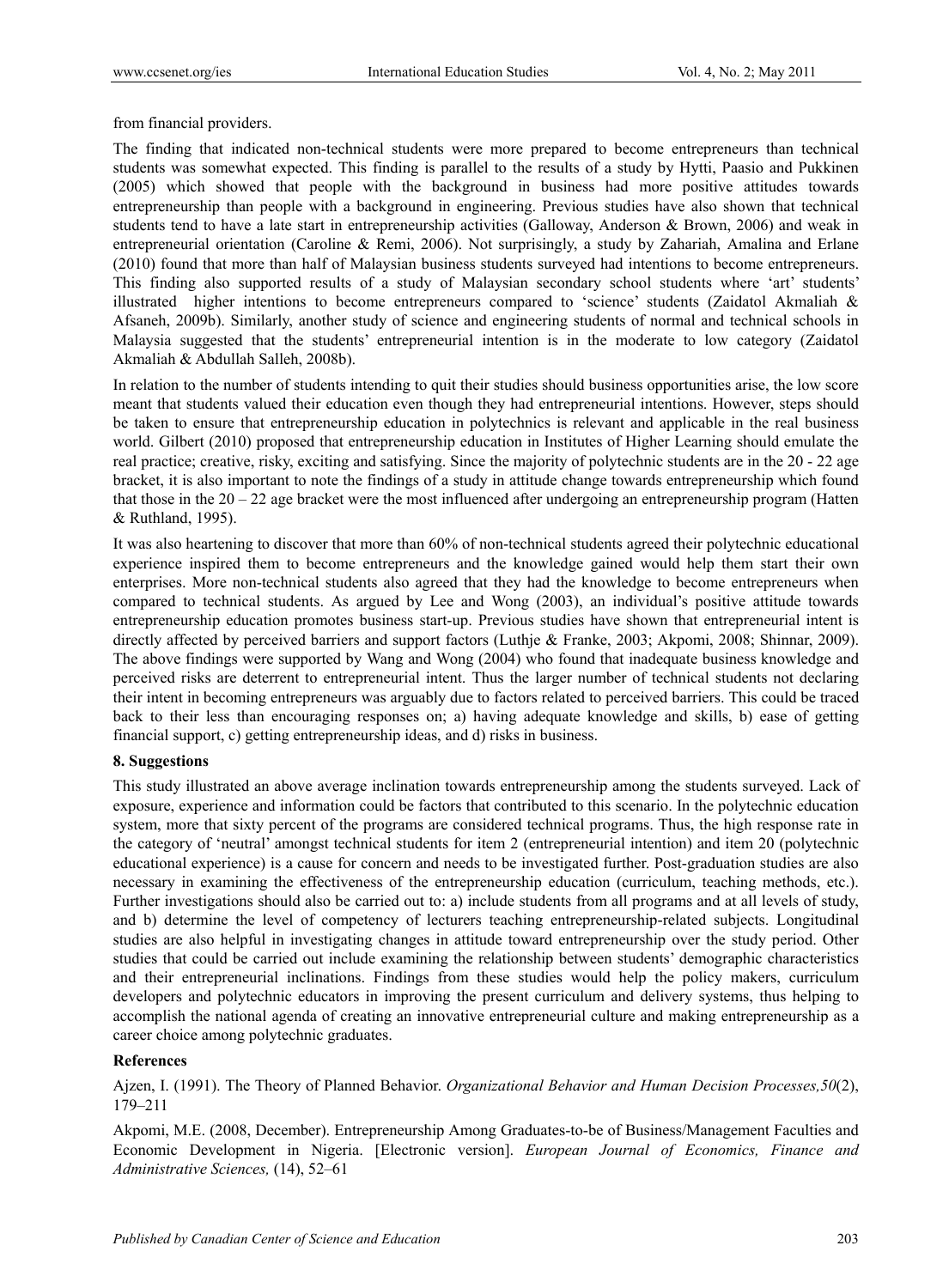from financial providers.

The finding that indicated non-technical students were more prepared to become entrepreneurs than technical students was somewhat expected. This finding is parallel to the results of a study by Hytti, Paasio and Pukkinen (2005) which showed that people with the background in business had more positive attitudes towards entrepreneurship than people with a background in engineering. Previous studies have also shown that technical students tend to have a late start in entrepreneurship activities (Galloway, Anderson & Brown, 2006) and weak in entrepreneurial orientation (Caroline & Remi, 2006). Not surprisingly, a study by Zahariah, Amalina and Erlane (2010) found that more than half of Malaysian business students surveyed had intentions to become entrepreneurs. This finding also supported results of a study of Malaysian secondary school students where 'art' students' illustrated higher intentions to become entrepreneurs compared to 'science' students (Zaidatol Akmaliah & Afsaneh, 2009b). Similarly, another study of science and engineering students of normal and technical schools in Malaysia suggested that the students' entrepreneurial intention is in the moderate to low category (Zaidatol Akmaliah & Abdullah Salleh, 2008b).

In relation to the number of students intending to quit their studies should business opportunities arise, the low score meant that students valued their education even though they had entrepreneurial intentions. However, steps should be taken to ensure that entrepreneurship education in polytechnics is relevant and applicable in the real business world. Gilbert (2010) proposed that entrepreneurship education in Institutes of Higher Learning should emulate the real practice; creative, risky, exciting and satisfying. Since the majority of polytechnic students are in the 20 - 22 age bracket, it is also important to note the findings of a study in attitude change towards entrepreneurship which found that those in the 20 – 22 age bracket were the most influenced after undergoing an entrepreneurship program (Hatten & Ruthland, 1995).

It was also heartening to discover that more than 60% of non-technical students agreed their polytechnic educational experience inspired them to become entrepreneurs and the knowledge gained would help them start their own enterprises. More non-technical students also agreed that they had the knowledge to become entrepreneurs when compared to technical students. As argued by Lee and Wong (2003), an individual's positive attitude towards entrepreneurship education promotes business start-up. Previous studies have shown that entrepreneurial intent is directly affected by perceived barriers and support factors (Luthje & Franke, 2003; Akpomi, 2008; Shinnar, 2009). The above findings were supported by Wang and Wong (2004) who found that inadequate business knowledge and perceived risks are deterrent to entrepreneurial intent. Thus the larger number of technical students not declaring their intent in becoming entrepreneurs was arguably due to factors related to perceived barriers. This could be traced back to their less than encouraging responses on; a) having adequate knowledge and skills, b) ease of getting financial support, c) getting entrepreneurship ideas, and d) risks in business.

# **8. Suggestions**

This study illustrated an above average inclination towards entrepreneurship among the students surveyed. Lack of exposure, experience and information could be factors that contributed to this scenario. In the polytechnic education system, more that sixty percent of the programs are considered technical programs. Thus, the high response rate in the category of 'neutral' amongst technical students for item 2 (entrepreneurial intention) and item 20 (polytechnic educational experience) is a cause for concern and needs to be investigated further. Post-graduation studies are also necessary in examining the effectiveness of the entrepreneurship education (curriculum, teaching methods, etc.). Further investigations should also be carried out to: a) include students from all programs and at all levels of study, and b) determine the level of competency of lecturers teaching entrepreneurship-related subjects. Longitudinal studies are also helpful in investigating changes in attitude toward entrepreneurship over the study period. Other studies that could be carried out include examining the relationship between students' demographic characteristics and their entrepreneurial inclinations. Findings from these studies would help the policy makers, curriculum developers and polytechnic educators in improving the present curriculum and delivery systems, thus helping to accomplish the national agenda of creating an innovative entrepreneurial culture and making entrepreneurship as a career choice among polytechnic graduates.

# **References**

Ajzen, I. (1991). The Theory of Planned Behavior. *Organizational Behavior and Human Decision Processes,50*(2), 179–211

Akpomi, M.E. (2008, December). Entrepreneurship Among Graduates-to-be of Business/Management Faculties and Economic Development in Nigeria. [Electronic version]. *European Journal of Economics, Finance and Administrative Sciences,* (14), 52–61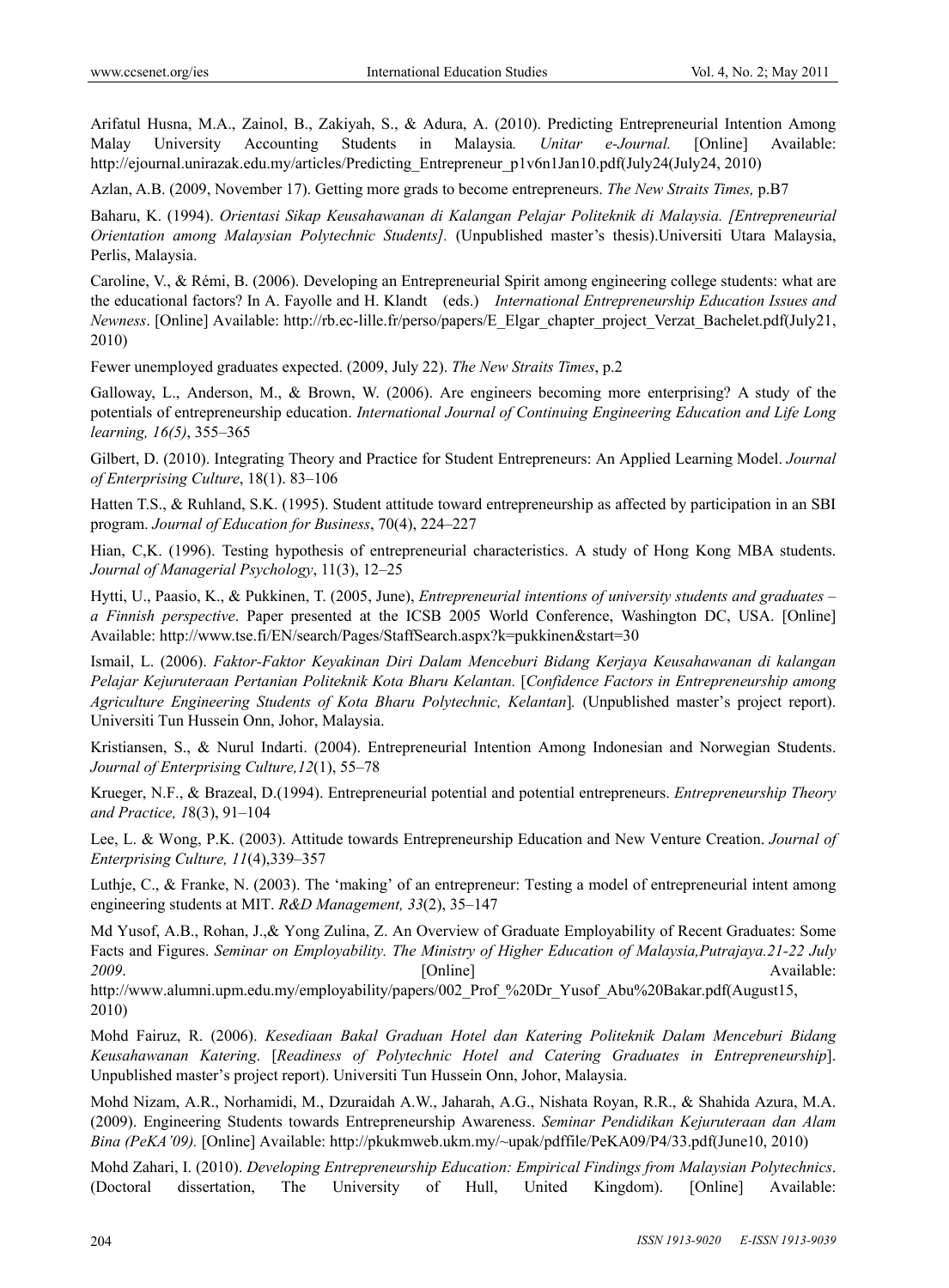Arifatul Husna, M.A., Zainol, B., Zakiyah, S., & Adura, A. (2010). Predicting Entrepreneurial Intention Among Malay University Accounting Students in Malaysia*. Unitar e-Journal.* [Online] Available: http://ejournal.unirazak.edu.my/articles/Predicting\_Entrepreneur\_p1v6n1Jan10.pdf(July24(July24, 2010)

Azlan, A.B. (2009, November 17). Getting more grads to become entrepreneurs. *The New Straits Times,* p.B7

Baharu, K. (1994). *Orientasi Sikap Keusahawanan di Kalangan Pelajar Politeknik di Malaysia. [Entrepreneurial Orientation among Malaysian Polytechnic Students].* (Unpublished master's thesis).Universiti Utara Malaysia, Perlis, Malaysia.

Caroline, V., & Rémi, B. (2006). Developing an Entrepreneurial Spirit among engineering college students: what are the educational factors? In A. Fayolle and H. Klandt (eds.) *International Entrepreneurship Education Issues and Newness*. [Online] Available: http://rb.ec-lille.fr/perso/papers/E\_Elgar\_chapter\_project\_Verzat\_Bachelet.pdf(July21, 2010)

Fewer unemployed graduates expected. (2009, July 22). *The New Straits Times*, p.2

Galloway, L., Anderson, M., & Brown, W. (2006). Are engineers becoming more enterprising? A study of the potentials of entrepreneurship education. *International Journal of Continuing Engineering Education and Life Long learning, 16(5)*, 355–365

Gilbert, D. (2010). Integrating Theory and Practice for Student Entrepreneurs: An Applied Learning Model. *Journal of Enterprising Culture*, 18(1). 83–106

Hatten T.S., & Ruhland, S.K. (1995). Student attitude toward entrepreneurship as affected by participation in an SBI program. *Journal of Education for Business*, 70(4), 224–227

Hian, C,K. (1996). Testing hypothesis of entrepreneurial characteristics. A study of Hong Kong MBA students. *Journal of Managerial Psychology*, 11(3), 12–25

Hytti, U., Paasio, K., & Pukkinen, T. (2005, June), *Entrepreneurial intentions of university students and graduates – a Finnish perspective*. Paper presented at the ICSB 2005 World Conference, Washington DC, USA. [Online] Available: http://www.tse.fi/EN/search/Pages/StaffSearch.aspx?k=pukkinen&start=30

Ismail, L. (2006). *Faktor-Faktor Keyakinan Diri Dalam Menceburi Bidang Kerjaya Keusahawanan di kalangan Pelajar Kejuruteraan Pertanian Politeknik Kota Bharu Kelantan.* [*Confidence Factors in Entrepreneurship among Agriculture Engineering Students of Kota Bharu Polytechnic, Kelantan*]*.* (Unpublished master's project report). Universiti Tun Hussein Onn, Johor, Malaysia.

Kristiansen, S., & Nurul Indarti. (2004). Entrepreneurial Intention Among Indonesian and Norwegian Students. *Journal of Enterprising Culture,12*(1), 55–78

Krueger, N.F., & Brazeal, D.(1994). Entrepreneurial potential and potential entrepreneurs. *Entrepreneurship Theory and Practice, 1*8(3), 91–104

Lee, L. & Wong, P.K. (2003). Attitude towards Entrepreneurship Education and New Venture Creation. *Journal of Enterprising Culture, 11*(4),339–357

Luthje, C., & Franke, N. (2003). The 'making' of an entrepreneur: Testing a model of entrepreneurial intent among engineering students at MIT. *R&D Management, 33*(2), 35–147

Md Yusof, A.B., Rohan, J.,& Yong Zulina, Z. An Overview of Graduate Employability of Recent Graduates: Some Facts and Figures. *Seminar on Employability. The Ministry of Higher Education of Malaysia,Putrajaya.21-22 July*  **2009**. Available: **Community Community Community Available: Available: Available:** 

http://www.alumni.upm.edu.my/employability/papers/002\_Prof\_%20Dr\_Yusof\_Abu%20Bakar.pdf(August15, 2010)

Mohd Fairuz, R. (2006). *Kesediaan Bakal Graduan Hotel dan Katering Politeknik Dalam Menceburi Bidang Keusahawanan Katering*. [*Readiness of Polytechnic Hotel and Catering Graduates in Entrepreneurship*]. Unpublished master's project report). Universiti Tun Hussein Onn, Johor, Malaysia.

Mohd Nizam, A.R., Norhamidi, M., Dzuraidah A.W., Jaharah, A.G., Nishata Royan, R.R., & Shahida Azura, M.A. (2009). Engineering Students towards Entrepreneurship Awareness. *Seminar Pendidikan Kejuruteraan dan Alam Bina (PeKA'09).* [Online] Available: http://pkukmweb.ukm.my/~upak/pdffile/PeKA09/P4/33.pdf(June10, 2010)

Mohd Zahari, I. (2010). *Developing Entrepreneurship Education: Empirical Findings from Malaysian Polytechnics*. (Doctoral dissertation, The University of Hull, United Kingdom). [Online] Available: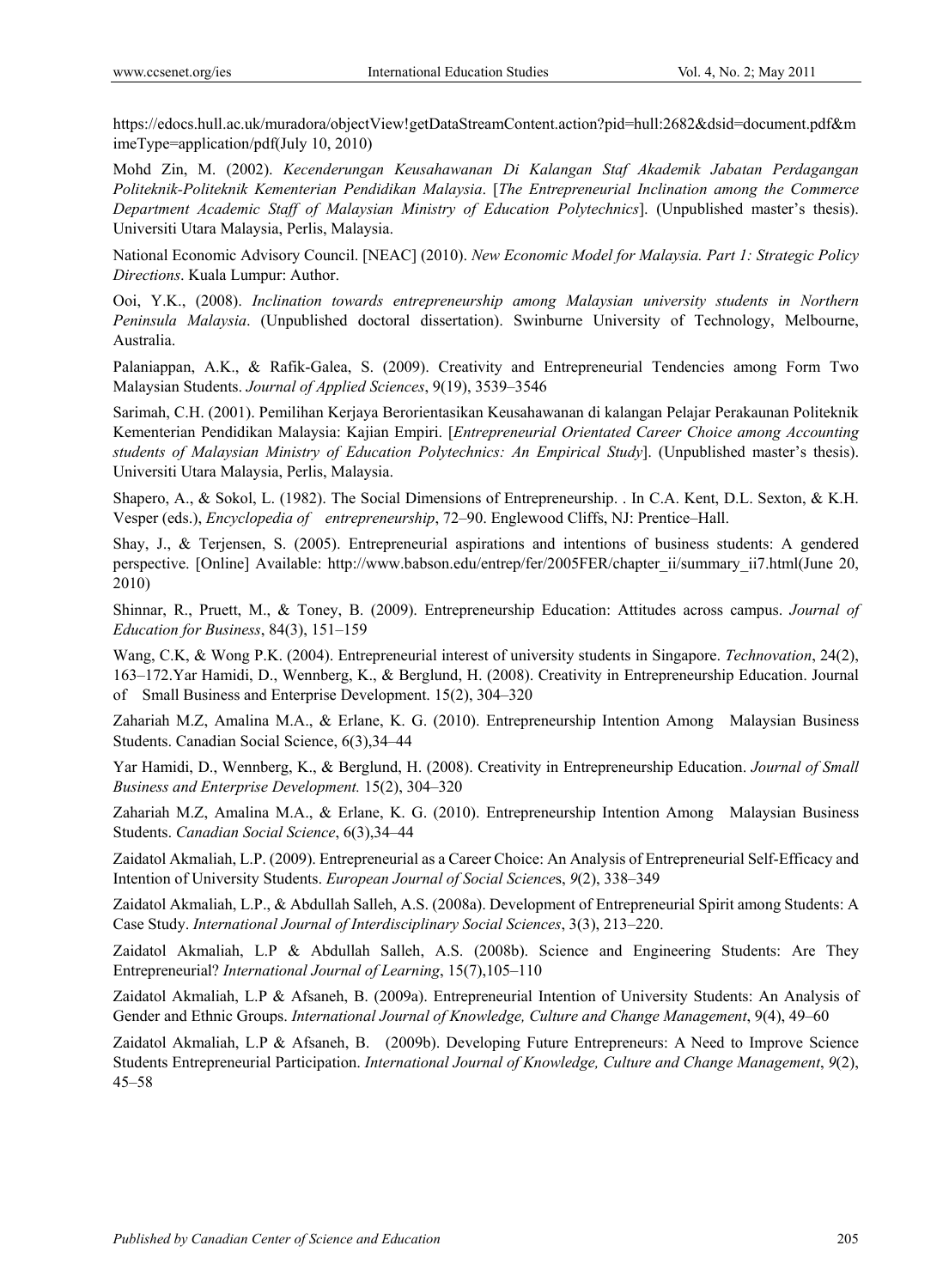https://edocs.hull.ac.uk/muradora/objectView!getDataStreamContent.action?pid=hull:2682&dsid=document.pdf&m imeType=application/pdf(July 10, 2010)

Mohd Zin, M. (2002). *Kecenderungan Keusahawanan Di Kalangan Staf Akademik Jabatan Perdagangan Politeknik-Politeknik Kementerian Pendidikan Malaysia*. [*The Entrepreneurial Inclination among the Commerce Department Academic Staff of Malaysian Ministry of Education Polytechnics*]. (Unpublished master's thesis). Universiti Utara Malaysia, Perlis, Malaysia.

National Economic Advisory Council. [NEAC] (2010). *New Economic Model for Malaysia. Part 1: Strategic Policy Directions*. Kuala Lumpur: Author.

Ooi, Y.K., (2008). *Inclination towards entrepreneurship among Malaysian university students in Northern Peninsula Malaysia*. (Unpublished doctoral dissertation). Swinburne University of Technology, Melbourne, Australia.

Palaniappan, A.K., & Rafik-Galea, S. (2009). Creativity and Entrepreneurial Tendencies among Form Two Malaysian Students. *Journal of Applied Sciences*, 9(19), 3539–3546

Sarimah, C.H. (2001). Pemilihan Kerjaya Berorientasikan Keusahawanan di kalangan Pelajar Perakaunan Politeknik Kementerian Pendidikan Malaysia: Kajian Empiri. [*Entrepreneurial Orientated Career Choice among Accounting students of Malaysian Ministry of Education Polytechnics: An Empirical Study*]. (Unpublished master's thesis). Universiti Utara Malaysia, Perlis, Malaysia.

Shapero, A., & Sokol, L. (1982). The Social Dimensions of Entrepreneurship. . In C.A. Kent, D.L. Sexton, & K.H. Vesper (eds.), *Encyclopedia of entrepreneurship*, 72–90. Englewood Cliffs, NJ: Prentice–Hall.

Shay, J., & Terjensen, S. (2005). Entrepreneurial aspirations and intentions of business students: A gendered perspective. [Online] Available: http://www.babson.edu/entrep/fer/2005FER/chapter\_ii/summary\_ii7.html(June 20, 2010)

Shinnar, R., Pruett, M., & Toney, B. (2009). Entrepreneurship Education: Attitudes across campus. *Journal of Education for Business*, 84(3), 151–159

Wang, C.K, & Wong P.K. (2004). Entrepreneurial interest of university students in Singapore. *Technovation*, 24(2), 163–172.Yar Hamidi, D., Wennberg, K., & Berglund, H. (2008). Creativity in Entrepreneurship Education. Journal of Small Business and Enterprise Development. 15(2), 304–320

Zahariah M.Z, Amalina M.A., & Erlane, K. G. (2010). Entrepreneurship Intention Among Malaysian Business Students. Canadian Social Science, 6(3),34–44

Yar Hamidi, D., Wennberg, K., & Berglund, H. (2008). Creativity in Entrepreneurship Education. *Journal of Small Business and Enterprise Development.* 15(2), 304–320

Zahariah M.Z, Amalina M.A., & Erlane, K. G. (2010). Entrepreneurship Intention Among Malaysian Business Students. *Canadian Social Science*, 6(3),34–44

Zaidatol Akmaliah, L.P. (2009). Entrepreneurial as a Career Choice: An Analysis of Entrepreneurial Self-Efficacy and Intention of University Students. *European Journal of Social Science*s, *9*(2), 338*–*349

Zaidatol Akmaliah, L.P., & Abdullah Salleh, A.S. (2008a). Development of Entrepreneurial Spirit among Students: A Case Study. *International Journal of Interdisciplinary Social Sciences*, 3(3), 213–220.

Zaidatol Akmaliah, L.P & Abdullah Salleh, A.S. (2008b). Science and Engineering Students: Are They Entrepreneurial? *International Journal of Learning*, 15(7),105–110

Zaidatol Akmaliah, L.P & Afsaneh, B. (2009a). Entrepreneurial Intention of University Students: An Analysis of Gender and Ethnic Groups. *International Journal of Knowledge, Culture and Change Management*, 9(4), 49–60

Zaidatol Akmaliah, L.P & Afsaneh, B. (2009b). Developing Future Entrepreneurs: A Need to Improve Science Students Entrepreneurial Participation. *International Journal of Knowledge, Culture and Change Management*, *9*(2), 45–58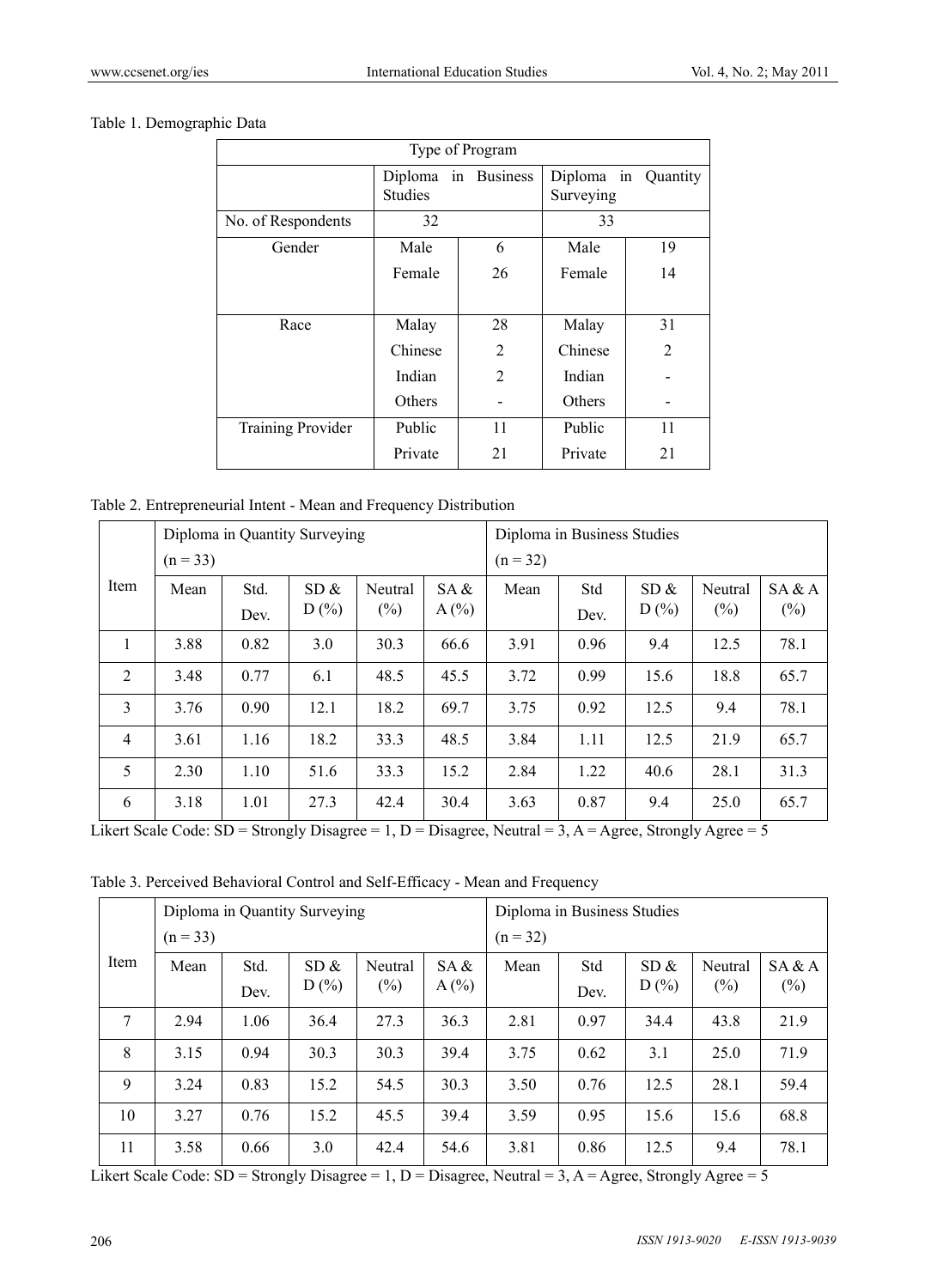## Table 1. Demographic Data

| Type of Program          |                |                     |           |                     |  |  |  |  |
|--------------------------|----------------|---------------------|-----------|---------------------|--|--|--|--|
|                          | <b>Studies</b> | Diploma in Business |           | Diploma in Quantity |  |  |  |  |
|                          |                |                     | Surveying |                     |  |  |  |  |
| No. of Respondents       | 32             |                     | 33        |                     |  |  |  |  |
| Gender                   | Male           | 6                   | Male      | 19                  |  |  |  |  |
|                          | Female         | 26                  | Female    | 14                  |  |  |  |  |
|                          |                |                     |           |                     |  |  |  |  |
| Race                     | Malay          | 28                  | Malay     | 31                  |  |  |  |  |
|                          | Chinese        | $\overline{2}$      | Chinese   | $\overline{2}$      |  |  |  |  |
|                          | Indian         | $\overline{2}$      | Indian    |                     |  |  |  |  |
|                          | <b>Others</b>  |                     | Others    |                     |  |  |  |  |
| <b>Training Provider</b> | Public         | 11                  | Public    | 11                  |  |  |  |  |
|                          | Private        | 21                  | Private   | 21                  |  |  |  |  |

Table 2. Entrepreneurial Intent - Mean and Frequency Distribution

|                | Diploma in Quantity Surveying |      |      |         |         |            | Diploma in Business Studies |      |         |        |  |
|----------------|-------------------------------|------|------|---------|---------|------------|-----------------------------|------|---------|--------|--|
|                | $(n = 33)$                    |      |      |         |         | $(n = 32)$ |                             |      |         |        |  |
| Item           | Mean                          | Std. | SD & | Neutral | SA &    | Mean       | Std                         | SD & | Neutral | SA & A |  |
|                |                               | Dev. | D(%) | $(\%)$  | $A(\%)$ |            | Dev.                        | D(%) | $(\%)$  | $(\%)$ |  |
| 1              | 3.88                          | 0.82 | 3.0  | 30.3    | 66.6    | 3.91       | 0.96                        | 9.4  | 12.5    | 78.1   |  |
| $\overline{2}$ | 3.48                          | 0.77 | 6.1  | 48.5    | 45.5    | 3.72       | 0.99                        | 15.6 | 18.8    | 65.7   |  |
| 3              | 3.76                          | 0.90 | 12.1 | 18.2    | 69.7    | 3.75       | 0.92                        | 12.5 | 9.4     | 78.1   |  |
| $\overline{4}$ | 3.61                          | 1.16 | 18.2 | 33.3    | 48.5    | 3.84       | 1.11                        | 12.5 | 21.9    | 65.7   |  |
| 5              | 2.30                          | 1.10 | 51.6 | 33.3    | 15.2    | 2.84       | 1.22                        | 40.6 | 28.1    | 31.3   |  |
| 6              | 3.18                          | 1.01 | 27.3 | 42.4    | 30.4    | 3.63       | 0.87                        | 9.4  | 25.0    | 65.7   |  |

Likert Scale Code:  $SD =$  Strongly Disagree = 1, D = Disagree, Neutral = 3, A = Agree, Strongly Agree = 5

Table 3. Perceived Behavioral Control and Self-Efficacy - Mean and Frequency

|        | Diploma in Quantity Surveying |              |              |                   |                 |            | Diploma in Business Studies |              |                   |                  |  |  |
|--------|-------------------------------|--------------|--------------|-------------------|-----------------|------------|-----------------------------|--------------|-------------------|------------------|--|--|
|        | $(n = 33)$                    |              |              |                   |                 | $(n = 32)$ |                             |              |                   |                  |  |  |
| Item   | Mean                          | Std.<br>Dev. | SD &<br>D(%) | Neutral<br>$(\%)$ | SA &<br>$A(\%)$ | Mean       | Std<br>Dev.                 | SD &<br>D(%) | Neutral<br>$(\%)$ | SA & A<br>$(\%)$ |  |  |
| $\tau$ | 2.94                          | 1.06         | 36.4         | 27.3              | 36.3            | 2.81       | 0.97                        | 34.4         | 43.8              | 21.9             |  |  |
| 8      | 3.15                          | 0.94         | 30.3         | 30.3              | 39.4            | 3.75       | 0.62                        | 3.1          | 25.0              | 71.9             |  |  |
| 9      | 3.24                          | 0.83         | 15.2         | 54.5              | 30.3            | 3.50       | 0.76                        | 12.5         | 28.1              | 59.4             |  |  |
| 10     | 3.27                          | 0.76         | 15.2         | 45.5              | 39.4            | 3.59       | 0.95                        | 15.6         | 15.6              | 68.8             |  |  |
| 11     | 3.58                          | 0.66         | 3.0          | 42.4              | 54.6            | 3.81       | 0.86                        | 12.5         | 9.4               | 78.1             |  |  |

Likert Scale Code:  $SD =$  Strongly Disagree = 1, D = Disagree, Neutral = 3, A = Agree, Strongly Agree = 5